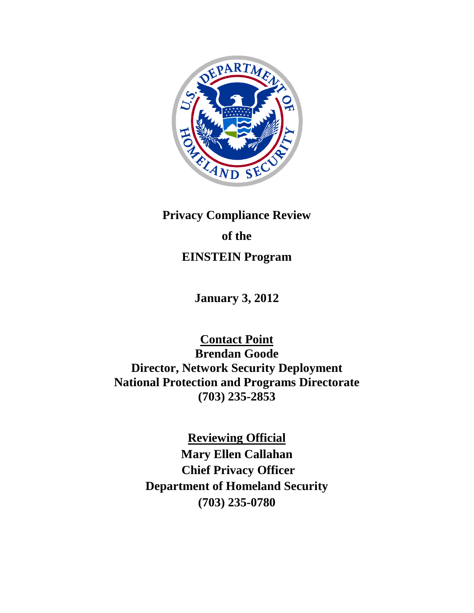

# **Privacy Compliance Review of the EINSTEIN Program**

**January 3, 2012**

**Contact Point Director, Network Security Deployment Brendan Goode National Protection and Programs Directorate (703) 235-2853**

> **Reviewing Official Mary Ellen Callahan Chief Privacy Officer Department of Homeland Security (703) 235-0780**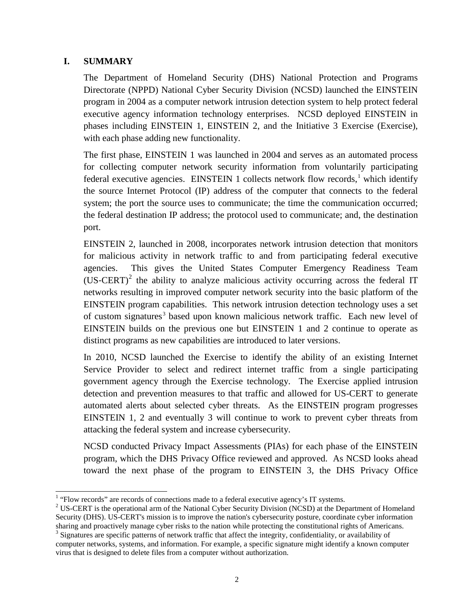#### **I. SUMMARY**

The Department of Homeland Security (DHS) National Protection and Programs Directorate (NPPD) National Cyber Security Division (NCSD) launched the EINSTEIN program in 2004 as a computer network intrusion detection system to help protect federal executive agency information technology enterprises. NCSD deployed EINSTEIN in phases including EINSTEIN 1, EINSTEIN 2, and the Initiative 3 Exercise (Exercise), with each phase adding new functionality.

The first phase, EINSTEIN 1 was launched in 2004 and serves as an automated process for collecting computer network security information from voluntarily participating federal executive agencies. EINSTEIN [1](#page-1-0) collects network flow records,<sup>1</sup> which identify the source Internet Protocol (IP) address of the computer that connects to the federal system; the port the source uses to communicate; the time the communication occurred; the federal destination IP address; the protocol used to communicate; and, the destination port.

EINSTEIN 2, launched in 2008, incorporates network intrusion detection that monitors for malicious activity in network traffic to and from participating federal executive agencies. This gives the United States Computer Emergency Readiness Team  $(US-CERT)^2$  $(US-CERT)^2$  the ability to analyze malicious activity occurring across the federal IT networks resulting in improved computer network security into the basic platform of the EINSTEIN program capabilities. This network intrusion detection technology uses a set of custom signatures<sup>[3](#page-1-2)</sup> based upon known malicious network traffic. Each new level of EINSTEIN builds on the previous one but EINSTEIN 1 and 2 continue to operate as distinct programs as new capabilities are introduced to later versions.

In 2010, NCSD launched the Exercise to identify the ability of an existing Internet Service Provider to select and redirect internet traffic from a single participating government agency through the Exercise technology. The Exercise applied intrusion detection and prevention measures to that traffic and allowed for US-CERT to generate automated alerts about selected cyber threats. As the EINSTEIN program progresses EINSTEIN 1, 2 and eventually 3 will continue to work to prevent cyber threats from attacking the federal system and increase cybersecurity.

NCSD conducted Privacy Impact Assessments (PIAs) for each phase of the EINSTEIN program, which the DHS Privacy Office reviewed and approved. As NCSD looks ahead toward the next phase of the program to EINSTEIN 3, the DHS Privacy Office

<span id="page-1-1"></span><span id="page-1-0"></span><sup>&</sup>lt;sup>1</sup> "Flow records" are records of connections made to a federal executive agency's IT systems.<br><sup>2</sup> US-CERT is the operational arm of the National Cyber Security Division (NCSD) at the Department of Homeland Security (DHS). US-CERT's mission is to improve the nation's cybersecurity posture, coordinate cyber information sharing and proactively manage cyber risks to the nation while protecting the constitutional rights of Americans.

<span id="page-1-2"></span> $3$  Signatures are specific patterns of network traffic that affect the integrity, confidentiality, or availability of computer networks, systems, and information. For example, a specific signature might identify a known computer virus that is designed to delete files from a computer without authorization.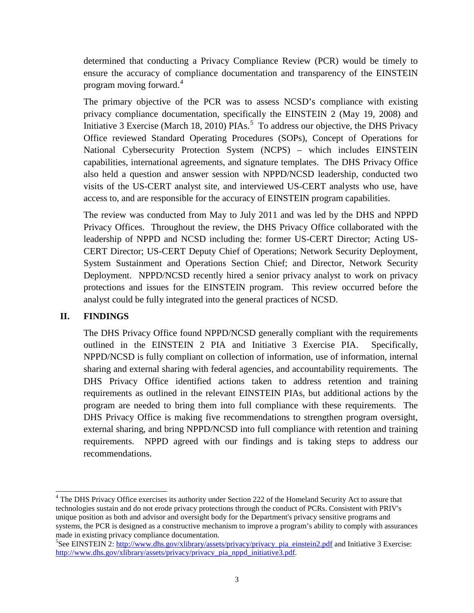determined that conducting a Privacy Compliance Review (PCR) would be timely to ensure the accuracy of compliance documentation and transparency of the EINSTEIN program moving forward. [4](#page-2-0)

The primary objective of the PCR was to assess NCSD's compliance with existing privacy compliance documentation, specifically the EINSTEIN 2 (May 19, 2008) and Initiative 3 Exercise (March 18, 2010) PIAs.<sup>[5](#page-2-1)</sup> To address our objective, the DHS Privacy Office reviewed Standard Operating Procedures (SOPs), Concept of Operations for National Cybersecurity Protection System (NCPS) – which includes EINSTEIN capabilities, international agreements, and signature templates. The DHS Privacy Office also held a question and answer session with NPPD/NCSD leadership, conducted two visits of the US-CERT analyst site, and interviewed US-CERT analysts who use, have access to, and are responsible for the accuracy of EINSTEIN program capabilities.

The review was conducted from May to July 2011 and was led by the DHS and NPPD Privacy Offices. Throughout the review, the DHS Privacy Office collaborated with the leadership of NPPD and NCSD including the: former US-CERT Director; Acting US-CERT Director; US-CERT Deputy Chief of Operations; Network Security Deployment, System Sustainment and Operations Section Chief; and Director, Network Security Deployment. NPPD/NCSD recently hired a senior privacy analyst to work on privacy protections and issues for the EINSTEIN program. This review occurred before the analyst could be fully integrated into the general practices of NCSD.

#### **II. FINDINGS**

The DHS Privacy Office found NPPD/NCSD generally compliant with the requirements outlined in the EINSTEIN 2 PIA and Initiative 3 Exercise PIA. Specifically, NPPD/NCSD is fully compliant on collection of information, use of information, internal sharing and external sharing with federal agencies, and accountability requirements. The DHS Privacy Office identified actions taken to address retention and training requirements as outlined in the relevant EINSTEIN PIAs, but additional actions by the program are needed to bring them into full compliance with these requirements. The DHS Privacy Office is making five recommendations to strengthen program oversight, external sharing, and bring NPPD/NCSD into full compliance with retention and training requirements. NPPD agreed with our findings and is taking steps to address our recommendations.

<span id="page-2-0"></span><sup>&</sup>lt;sup>4</sup> The DHS Privacy Office exercises its authority under Section 222 of the Homeland Security Act to assure that technologies sustain and do not erode privacy protections through the conduct of PCRs. Consistent with PRIV's unique position as both and advisor and oversight body for the Department's privacy sensitive programs and systems, the PCR is designed as a constructive mechanism to improve a program's ability to comply with assurances made in existing privacy compliance documentation.

<span id="page-2-1"></span><sup>&</sup>lt;sup>5</sup>See EINSTEIN 2: [http://www.dhs.gov/xlibrary/assets/privacy/privacy\\_pia\\_einstein2.pdf](http://www.dhs.gov/xlibrary/assets/privacy/privacy_pia_einstein2.pdf) and Initiative 3 Exercise: [http://www.dhs.gov/xlibrary/assets/privacy/privacy\\_pia\\_nppd\\_initiative3.pdf.](http://www.dhs.gov/xlibrary/assets/privacy/privacy_pia_nppd_initiative3.pdf)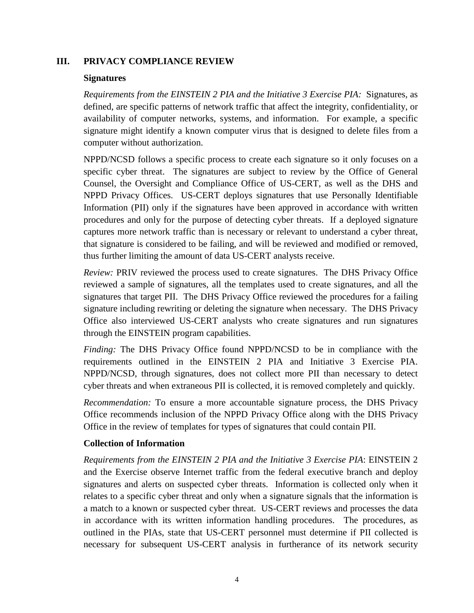#### **III. PRIVACY COMPLIANCE REVIEW**

#### **Signatures**

*Requirements from the EINSTEIN 2 PIA and the Initiative 3 Exercise PIA:* Signatures, as defined, are specific patterns of network traffic that affect the integrity, confidentiality, or availability of computer networks, systems, and information. For example, a specific signature might identify a known computer virus that is designed to delete files from a computer without authorization.

NPPD/NCSD follows a specific process to create each signature so it only focuses on a specific cyber threat. The signatures are subject to review by the Office of General Counsel, the Oversight and Compliance Office of US-CERT, as well as the DHS and NPPD Privacy Offices. US-CERT deploys signatures that use Personally Identifiable Information (PII) only if the signatures have been approved in accordance with written procedures and only for the purpose of detecting cyber threats. If a deployed signature captures more network traffic than is necessary or relevant to understand a cyber threat, that signature is considered to be failing, and will be reviewed and modified or removed, thus further limiting the amount of data US-CERT analysts receive.

*Review:* PRIV reviewed the process used to create signatures. The DHS Privacy Office reviewed a sample of signatures, all the templates used to create signatures, and all the signatures that target PII. The DHS Privacy Office reviewed the procedures for a failing signature including rewriting or deleting the signature when necessary. The DHS Privacy Office also interviewed US-CERT analysts who create signatures and run signatures through the EINSTEIN program capabilities.

*Finding:* The DHS Privacy Office found NPPD/NCSD to be in compliance with the requirements outlined in the EINSTEIN 2 PIA and Initiative 3 Exercise PIA. NPPD/NCSD, through signatures, does not collect more PII than necessary to detect cyber threats and when extraneous PII is collected, it is removed completely and quickly.

*Recommendation:* To ensure a more accountable signature process, the DHS Privacy Office recommends inclusion of the NPPD Privacy Office along with the DHS Privacy Office in the review of templates for types of signatures that could contain PII.

#### **Collection of Information**

*Requirements from the EINSTEIN 2 PIA and the Initiative 3 Exercise PIA*: EINSTEIN 2 and the Exercise observe Internet traffic from the federal executive branch and deploy signatures and alerts on suspected cyber threats. Information is collected only when it relates to a specific cyber threat and only when a signature signals that the information is a match to a known or suspected cyber threat. US-CERT reviews and processes the data in accordance with its written information handling procedures. The procedures, as outlined in the PIAs, state that US-CERT personnel must determine if PII collected is necessary for subsequent US-CERT analysis in furtherance of its network security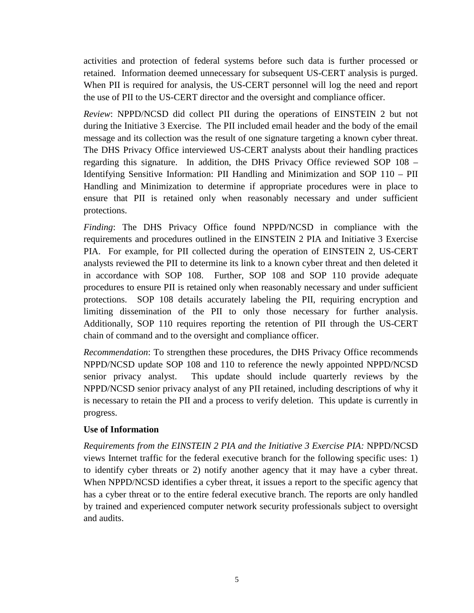activities and protection of federal systems before such data is further processed or retained. Information deemed unnecessary for subsequent US-CERT analysis is purged. When PII is required for analysis, the US-CERT personnel will log the need and report the use of PII to the US-CERT director and the oversight and compliance officer.

*Review*: NPPD/NCSD did collect PII during the operations of EINSTEIN 2 but not during the Initiative 3 Exercise. The PII included email header and the body of the email message and its collection was the result of one signature targeting a known cyber threat. The DHS Privacy Office interviewed US-CERT analysts about their handling practices regarding this signature. In addition, the DHS Privacy Office reviewed SOP 108 – Identifying Sensitive Information: PII Handling and Minimization and SOP 110 – PII Handling and Minimization to determine if appropriate procedures were in place to ensure that PII is retained only when reasonably necessary and under sufficient protections.

*Finding*: The DHS Privacy Office found NPPD/NCSD in compliance with the requirements and procedures outlined in the EINSTEIN 2 PIA and Initiative 3 Exercise PIA. For example, for PII collected during the operation of EINSTEIN 2, US-CERT analysts reviewed the PII to determine its link to a known cyber threat and then deleted it in accordance with SOP 108. Further, SOP 108 and SOP 110 provide adequate procedures to ensure PII is retained only when reasonably necessary and under sufficient protections. SOP 108 details accurately labeling the PII, requiring encryption and limiting dissemination of the PII to only those necessary for further analysis. Additionally, SOP 110 requires reporting the retention of PII through the US-CERT chain of command and to the oversight and compliance officer.

*Recommendation*: To strengthen these procedures, the DHS Privacy Office recommends NPPD/NCSD update SOP 108 and 110 to reference the newly appointed NPPD/NCSD senior privacy analyst. This update should include quarterly reviews by the NPPD/NCSD senior privacy analyst of any PII retained, including descriptions of why it is necessary to retain the PII and a process to verify deletion. This update is currently in progress.

#### **Use of Information**

*Requirements from the EINSTEIN 2 PIA and the Initiative 3 Exercise PIA:* NPPD/NCSD views Internet traffic for the federal executive branch for the following specific uses: 1) to identify cyber threats or 2) notify another agency that it may have a cyber threat. When NPPD/NCSD identifies a cyber threat, it issues a report to the specific agency that has a cyber threat or to the entire federal executive branch. The reports are only handled by trained and experienced computer network security professionals subject to oversight and audits.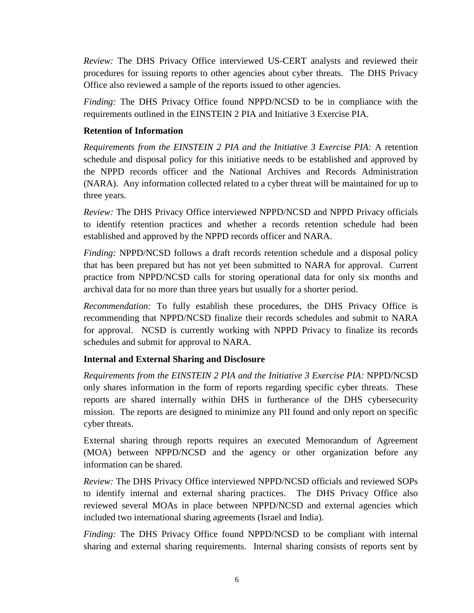*Review:* The DHS Privacy Office interviewed US-CERT analysts and reviewed their procedures for issuing reports to other agencies about cyber threats. The DHS Privacy Office also reviewed a sample of the reports issued to other agencies.

*Finding:* The DHS Privacy Office found NPPD/NCSD to be in compliance with the requirements outlined in the EINSTEIN 2 PIA and Initiative 3 Exercise PIA.

### **Retention of Information**

*Requirements from the EINSTEIN 2 PIA and the Initiative 3 Exercise PIA:* A retention schedule and disposal policy for this initiative needs to be established and approved by the NPPD records officer and the National Archives and Records Administration (NARA). Any information collected related to a cyber threat will be maintained for up to three years.

*Review:* The DHS Privacy Office interviewed NPPD/NCSD and NPPD Privacy officials to identify retention practices and whether a records retention schedule had been established and approved by the NPPD records officer and NARA.

*Finding:* NPPD/NCSD follows a draft records retention schedule and a disposal policy that has been prepared but has not yet been submitted to NARA for approval. Current practice from NPPD/NCSD calls for storing operational data for only six months and archival data for no more than three years but usually for a shorter period.

*Recommendation:* To fully establish these procedures, the DHS Privacy Office is recommending that NPPD/NCSD finalize their records schedules and submit to NARA for approval. NCSD is currently working with NPPD Privacy to finalize its records schedules and submit for approval to NARA.

## **Internal and External Sharing and Disclosure**

*Requirements from the EINSTEIN 2 PIA and the Initiative 3 Exercise PIA:* NPPD/NCSD only shares information in the form of reports regarding specific cyber threats. These reports are shared internally within DHS in furtherance of the DHS cybersecurity mission. The reports are designed to minimize any PII found and only report on specific cyber threats.

External sharing through reports requires an executed Memorandum of Agreement (MOA) between NPPD/NCSD and the agency or other organization before any information can be shared.

*Review:* The DHS Privacy Office interviewed NPPD/NCSD officials and reviewed SOPs to identify internal and external sharing practices. The DHS Privacy Office also reviewed several MOAs in place between NPPD/NCSD and external agencies which included two international sharing agreements (Israel and India).

*Finding:* The DHS Privacy Office found NPPD/NCSD to be compliant with internal sharing and external sharing requirements. Internal sharing consists of reports sent by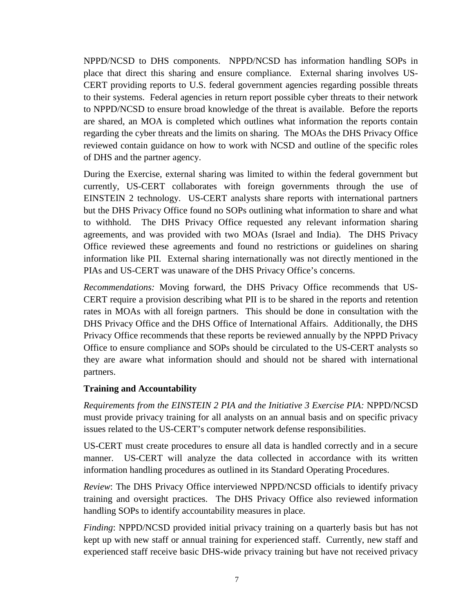NPPD/NCSD to DHS components. NPPD/NCSD has information handling SOPs in place that direct this sharing and ensure compliance. External sharing involves US-CERT providing reports to U.S. federal government agencies regarding possible threats to their systems. Federal agencies in return report possible cyber threats to their network to NPPD/NCSD to ensure broad knowledge of the threat is available. Before the reports are shared, an MOA is completed which outlines what information the reports contain regarding the cyber threats and the limits on sharing. The MOAs the DHS Privacy Office reviewed contain guidance on how to work with NCSD and outline of the specific roles of DHS and the partner agency.

During the Exercise, external sharing was limited to within the federal government but currently, US-CERT collaborates with foreign governments through the use of EINSTEIN 2 technology. US-CERT analysts share reports with international partners but the DHS Privacy Office found no SOPs outlining what information to share and what to withhold. The DHS Privacy Office requested any relevant information sharing agreements, and was provided with two MOAs (Israel and India). The DHS Privacy Office reviewed these agreements and found no restrictions or guidelines on sharing information like PII. External sharing internationally was not directly mentioned in the PIAs and US-CERT was unaware of the DHS Privacy Office's concerns.

*Recommendations:* Moving forward, the DHS Privacy Office recommends that US-CERT require a provision describing what PII is to be shared in the reports and retention rates in MOAs with all foreign partners. This should be done in consultation with the DHS Privacy Office and the DHS Office of International Affairs. Additionally, the DHS Privacy Office recommends that these reports be reviewed annually by the NPPD Privacy Office to ensure compliance and SOPs should be circulated to the US-CERT analysts so they are aware what information should and should not be shared with international partners.

#### **Training and Accountability**

*Requirements from the EINSTEIN 2 PIA and the Initiative 3 Exercise PIA:* NPPD/NCSD must provide privacy training for all analysts on an annual basis and on specific privacy issues related to the US-CERT's computer network defense responsibilities.

US-CERT must create procedures to ensure all data is handled correctly and in a secure manner. US-CERT will analyze the data collected in accordance with its written information handling procedures as outlined in its Standard Operating Procedures.

*Review*: The DHS Privacy Office interviewed NPPD/NCSD officials to identify privacy training and oversight practices. The DHS Privacy Office also reviewed information handling SOPs to identify accountability measures in place.

*Finding*: NPPD/NCSD provided initial privacy training on a quarterly basis but has not kept up with new staff or annual training for experienced staff. Currently, new staff and experienced staff receive basic DHS-wide privacy training but have not received privacy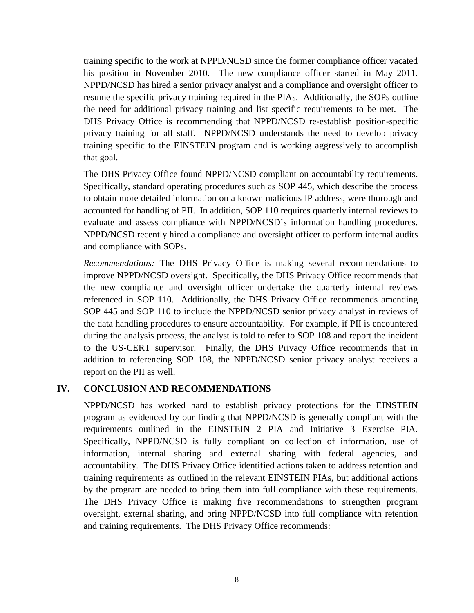training specific to the work at NPPD/NCSD since the former compliance officer vacated his position in November 2010. The new compliance officer started in May 2011. NPPD/NCSD has hired a senior privacy analyst and a compliance and oversight officer to resume the specific privacy training required in the PIAs. Additionally, the SOPs outline the need for additional privacy training and list specific requirements to be met. The DHS Privacy Office is recommending that NPPD/NCSD re-establish position-specific privacy training for all staff. NPPD/NCSD understands the need to develop privacy training specific to the EINSTEIN program and is working aggressively to accomplish that goal.

The DHS Privacy Office found NPPD/NCSD compliant on accountability requirements. Specifically, standard operating procedures such as SOP 445, which describe the process to obtain more detailed information on a known malicious IP address, were thorough and accounted for handling of PII. In addition, SOP 110 requires quarterly internal reviews to evaluate and assess compliance with NPPD/NCSD's information handling procedures. NPPD/NCSD recently hired a compliance and oversight officer to perform internal audits and compliance with SOPs.

*Recommendations:* The DHS Privacy Office is making several recommendations to improve NPPD/NCSD oversight. Specifically, the DHS Privacy Office recommends that the new compliance and oversight officer undertake the quarterly internal reviews referenced in SOP 110. Additionally, the DHS Privacy Office recommends amending SOP 445 and SOP 110 to include the NPPD/NCSD senior privacy analyst in reviews of the data handling procedures to ensure accountability. For example, if PII is encountered during the analysis process, the analyst is told to refer to SOP 108 and report the incident to the US-CERT supervisor. Finally, the DHS Privacy Office recommends that in addition to referencing SOP 108, the NPPD/NCSD senior privacy analyst receives a report on the PII as well.

#### **IV. CONCLUSION AND RECOMMENDATIONS**

NPPD/NCSD has worked hard to establish privacy protections for the EINSTEIN program as evidenced by our finding that NPPD/NCSD is generally compliant with the requirements outlined in the EINSTEIN 2 PIA and Initiative 3 Exercise PIA. Specifically, NPPD/NCSD is fully compliant on collection of information, use of information, internal sharing and external sharing with federal agencies, and accountability. The DHS Privacy Office identified actions taken to address retention and training requirements as outlined in the relevant EINSTEIN PIAs, but additional actions by the program are needed to bring them into full compliance with these requirements. The DHS Privacy Office is making five recommendations to strengthen program oversight, external sharing, and bring NPPD/NCSD into full compliance with retention and training requirements. The DHS Privacy Office recommends: